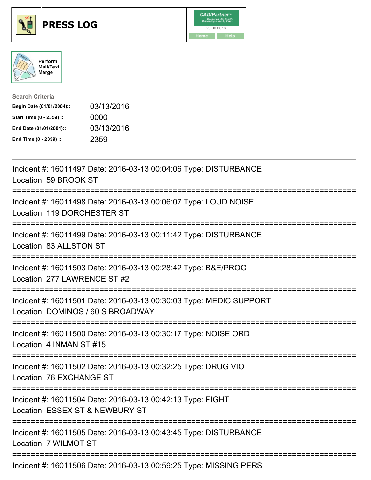

## **PRESS LOG** v8.00.0013





| <b>Search Criteria</b>    |            |
|---------------------------|------------|
| Begin Date (01/01/2004):: | 03/13/2016 |
| Start Time (0 - 2359) ::  | 0000       |
| End Date (01/01/2004)::   | 03/13/2016 |
| End Time (0 - 2359) ::    | 2359       |

Incident #: 16011497 Date: 2016-03-13 00:04:06 Type: DISTURBANCE Location: 59 BROOK ST =========================================================================== Incident #: 16011498 Date: 2016-03-13 00:06:07 Type: LOUD NOISE Location: 119 DORCHESTER ST =========================================================================== Incident #: 16011499 Date: 2016-03-13 00:11:42 Type: DISTURBANCE Location: 83 ALLSTON ST =========================================================================== Incident #: 16011503 Date: 2016-03-13 00:28:42 Type: B&E/PROG Location: 277 LAWRENCE ST #2 =========================================================================== Incident #: 16011501 Date: 2016-03-13 00:30:03 Type: MEDIC SUPPORT Location: DOMINOS / 60 S BROADWAY =========================================================================== Incident #: 16011500 Date: 2016-03-13 00:30:17 Type: NOISE ORD Location: 4 INMAN ST #15 =========================================================================== Incident #: 16011502 Date: 2016-03-13 00:32:25 Type: DRUG VIO Location: 76 EXCHANGE ST =========================================================================== Incident #: 16011504 Date: 2016-03-13 00:42:13 Type: FIGHT Location: ESSEX ST & NEWBURY ST =========================================================================== Incident #: 16011505 Date: 2016-03-13 00:43:45 Type: DISTURBANCE Location: 7 WILMOT ST ===========================================================================

Incident #: 16011506 Date: 2016-03-13 00:59:25 Type: MISSING PERS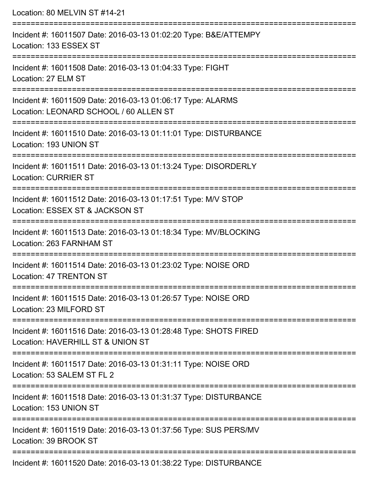Location: 80 MELVIN ST #14-21 =========================================================================== Incident #: 16011507 Date: 2016-03-13 01:02:20 Type: B&E/ATTEMPY Location: 133 ESSEX ST =========================================================================== Incident #: 16011508 Date: 2016-03-13 01:04:33 Type: FIGHT Location: 27 ELM ST =========================================================================== Incident #: 16011509 Date: 2016-03-13 01:06:17 Type: ALARMS Location: LEONARD SCHOOL / 60 ALLEN ST =========================================================================== Incident #: 16011510 Date: 2016-03-13 01:11:01 Type: DISTURBANCE Location: 193 UNION ST =========================================================================== Incident #: 16011511 Date: 2016-03-13 01:13:24 Type: DISORDERLY Location: CURRIER ST =========================================================================== Incident #: 16011512 Date: 2016-03-13 01:17:51 Type: M/V STOP Location: ESSEX ST & JACKSON ST =========================================================================== Incident #: 16011513 Date: 2016-03-13 01:18:34 Type: MV/BLOCKING Location: 263 FARNHAM ST =========================================================================== Incident #: 16011514 Date: 2016-03-13 01:23:02 Type: NOISE ORD Location: 47 TRENTON ST =========================================================================== Incident #: 16011515 Date: 2016-03-13 01:26:57 Type: NOISE ORD Location: 23 MILFORD ST =========================================================================== Incident #: 16011516 Date: 2016-03-13 01:28:48 Type: SHOTS FIRED Location: HAVERHILL ST & UNION ST =========================================================================== Incident #: 16011517 Date: 2016-03-13 01:31:11 Type: NOISE ORD Location: 53 SALEM ST FL 2 =========================================================================== Incident #: 16011518 Date: 2016-03-13 01:31:37 Type: DISTURBANCE Location: 153 UNION ST =========================================================================== Incident #: 16011519 Date: 2016-03-13 01:37:56 Type: SUS PERS/MV Location: 39 BROOK ST ===========================================================================

Incident #: 16011520 Date: 2016-03-13 01:38:22 Type: DISTURBANCE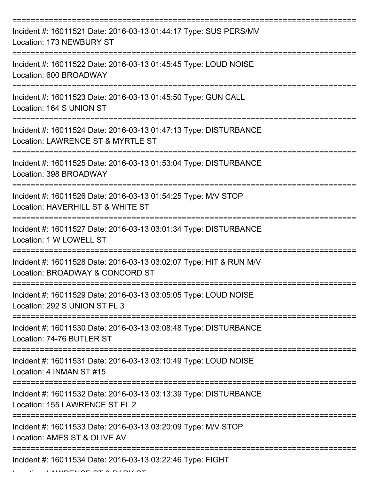| Incident #: 16011521 Date: 2016-03-13 01:44:17 Type: SUS PERS/MV<br>Location: 173 NEWBURY ST          |
|-------------------------------------------------------------------------------------------------------|
| Incident #: 16011522 Date: 2016-03-13 01:45:45 Type: LOUD NOISE<br>Location: 600 BROADWAY             |
| Incident #: 16011523 Date: 2016-03-13 01:45:50 Type: GUN CALL<br>Location: 164 S UNION ST             |
| Incident #: 16011524 Date: 2016-03-13 01:47:13 Type: DISTURBANCE<br>Location: LAWRENCE ST & MYRTLE ST |
| Incident #: 16011525 Date: 2016-03-13 01:53:04 Type: DISTURBANCE<br>Location: 398 BROADWAY            |
| Incident #: 16011526 Date: 2016-03-13 01:54:25 Type: M/V STOP<br>Location: HAVERHILL ST & WHITE ST    |
| Incident #: 16011527 Date: 2016-03-13 03:01:34 Type: DISTURBANCE<br>Location: 1 W LOWELL ST           |
| Incident #: 16011528 Date: 2016-03-13 03:02:07 Type: HIT & RUN M/V<br>Location: BROADWAY & CONCORD ST |
| Incident #: 16011529 Date: 2016-03-13 03:05:05 Type: LOUD NOISE<br>Location: 292 S UNION ST FL 3      |
| Incident #: 16011530 Date: 2016-03-13 03:08:48 Type: DISTURBANCE<br>Location: 74-76 BUTLER ST         |
| Incident #: 16011531 Date: 2016-03-13 03:10:49 Type: LOUD NOISE<br>Location: 4 INMAN ST #15           |
| Incident #: 16011532 Date: 2016-03-13 03:13:39 Type: DISTURBANCE<br>Location: 155 LAWRENCE ST FL 2    |
| Incident #: 16011533 Date: 2016-03-13 03:20:09 Type: M/V STOP<br>Location: AMES ST & OLIVE AV         |
| Incident #: 16011534 Date: 2016-03-13 03:22:46 Type: FIGHT                                            |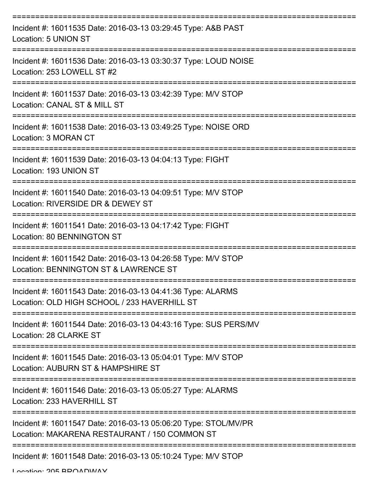| Incident #: 16011535 Date: 2016-03-13 03:29:45 Type: A&B PAST<br>Location: 5 UNION ST                                              |
|------------------------------------------------------------------------------------------------------------------------------------|
| Incident #: 16011536 Date: 2016-03-13 03:30:37 Type: LOUD NOISE<br>Location: 253 LOWELL ST #2                                      |
| Incident #: 16011537 Date: 2016-03-13 03:42:39 Type: M/V STOP<br>Location: CANAL ST & MILL ST                                      |
| Incident #: 16011538 Date: 2016-03-13 03:49:25 Type: NOISE ORD<br>Location: 3 MORAN CT                                             |
| Incident #: 16011539 Date: 2016-03-13 04:04:13 Type: FIGHT<br>Location: 193 UNION ST                                               |
| ============================<br>Incident #: 16011540 Date: 2016-03-13 04:09:51 Type: M/V STOP<br>Location: RIVERSIDE DR & DEWEY ST |
| Incident #: 16011541 Date: 2016-03-13 04:17:42 Type: FIGHT<br>Location: 80 BENNINGTON ST                                           |
| ========<br>Incident #: 16011542 Date: 2016-03-13 04:26:58 Type: M/V STOP<br>Location: BENNINGTON ST & LAWRENCE ST                 |
| Incident #: 16011543 Date: 2016-03-13 04:41:36 Type: ALARMS<br>Location: OLD HIGH SCHOOL / 233 HAVERHILL ST                        |
| Incident #: 16011544 Date: 2016-03-13 04:43:16 Type: SUS PERS/MV<br>Location: 28 CLARKE ST                                         |
| Incident #: 16011545 Date: 2016-03-13 05:04:01 Type: M/V STOP<br>Location: AUBURN ST & HAMPSHIRE ST                                |
| Incident #: 16011546 Date: 2016-03-13 05:05:27 Type: ALARMS<br>Location: 233 HAVERHILL ST                                          |
| Incident #: 16011547 Date: 2016-03-13 05:06:20 Type: STOL/MV/PR<br>Location: MAKARENA RESTAURANT / 150 COMMON ST                   |
| Incident #: 16011548 Date: 2016-03-13 05:10:24 Type: M/V STOP                                                                      |

Location: 205 BROADWAY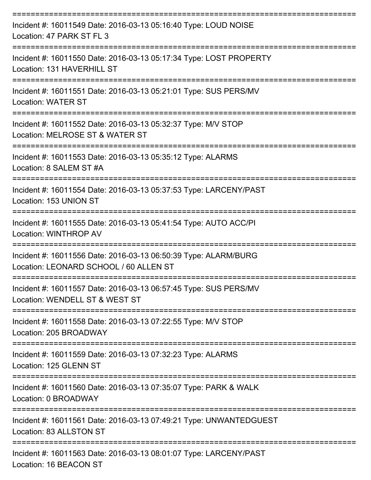| Incident #: 16011549 Date: 2016-03-13 05:16:40 Type: LOUD NOISE<br>Location: 47 PARK ST FL 3              |
|-----------------------------------------------------------------------------------------------------------|
| Incident #: 16011550 Date: 2016-03-13 05:17:34 Type: LOST PROPERTY<br>Location: 131 HAVERHILL ST          |
| Incident #: 16011551 Date: 2016-03-13 05:21:01 Type: SUS PERS/MV<br><b>Location: WATER ST</b>             |
| Incident #: 16011552 Date: 2016-03-13 05:32:37 Type: M/V STOP<br>Location: MELROSE ST & WATER ST          |
| Incident #: 16011553 Date: 2016-03-13 05:35:12 Type: ALARMS<br>Location: 8 SALEM ST #A                    |
| Incident #: 16011554 Date: 2016-03-13 05:37:53 Type: LARCENY/PAST<br>Location: 153 UNION ST               |
| Incident #: 16011555 Date: 2016-03-13 05:41:54 Type: AUTO ACC/PI<br>Location: WINTHROP AV                 |
| Incident #: 16011556 Date: 2016-03-13 06:50:39 Type: ALARM/BURG<br>Location: LEONARD SCHOOL / 60 ALLEN ST |
| Incident #: 16011557 Date: 2016-03-13 06:57:45 Type: SUS PERS/MV<br>Location: WENDELL ST & WEST ST        |
| Incident #: 16011558 Date: 2016-03-13 07:22:55 Type: M/V STOP<br>Location: 205 BROADWAY                   |
| Incident #: 16011559 Date: 2016-03-13 07:32:23 Type: ALARMS<br>Location: 125 GLENN ST                     |
| Incident #: 16011560 Date: 2016-03-13 07:35:07 Type: PARK & WALK<br>Location: 0 BROADWAY                  |
| Incident #: 16011561 Date: 2016-03-13 07:49:21 Type: UNWANTEDGUEST<br>Location: 83 ALLSTON ST             |
| Incident #: 16011563 Date: 2016-03-13 08:01:07 Type: LARCENY/PAST<br>Location: 16 BEACON ST               |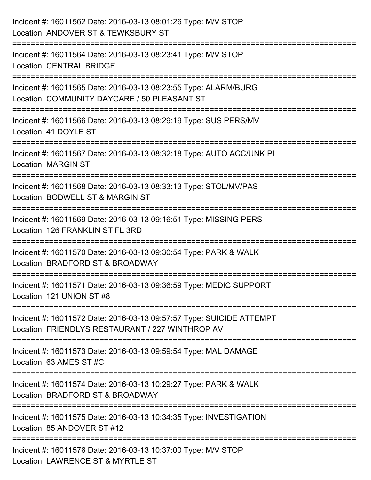| Incident #: 16011562 Date: 2016-03-13 08:01:26 Type: M/V STOP<br>Location: ANDOVER ST & TEWKSBURY ST                                |
|-------------------------------------------------------------------------------------------------------------------------------------|
| Incident #: 16011564 Date: 2016-03-13 08:23:41 Type: M/V STOP<br><b>Location: CENTRAL BRIDGE</b>                                    |
| Incident #: 16011565 Date: 2016-03-13 08:23:55 Type: ALARM/BURG<br>Location: COMMUNITY DAYCARE / 50 PLEASANT ST                     |
| Incident #: 16011566 Date: 2016-03-13 08:29:19 Type: SUS PERS/MV<br>Location: 41 DOYLE ST                                           |
| Incident #: 16011567 Date: 2016-03-13 08:32:18 Type: AUTO ACC/UNK PI<br><b>Location: MARGIN ST</b>                                  |
| Incident #: 16011568 Date: 2016-03-13 08:33:13 Type: STOL/MV/PAS<br>Location: BODWELL ST & MARGIN ST                                |
| Incident #: 16011569 Date: 2016-03-13 09:16:51 Type: MISSING PERS<br>Location: 126 FRANKLIN ST FL 3RD                               |
| Incident #: 16011570 Date: 2016-03-13 09:30:54 Type: PARK & WALK<br>Location: BRADFORD ST & BROADWAY                                |
| Incident #: 16011571 Date: 2016-03-13 09:36:59 Type: MEDIC SUPPORT<br>Location: 121 UNION ST #8                                     |
| Incident #: 16011572 Date: 2016-03-13 09:57:57 Type: SUICIDE ATTEMPT<br>Location: FRIENDLYS RESTAURANT / 227 WINTHROP AV            |
| Incident #: 16011573 Date: 2016-03-13 09:59:54 Type: MAL DAMAGE<br>Location: 63 AMES ST #C                                          |
| ---------------------------<br>Incident #: 16011574 Date: 2016-03-13 10:29:27 Type: PARK & WALK<br>Location: BRADFORD ST & BROADWAY |
| Incident #: 16011575 Date: 2016-03-13 10:34:35 Type: INVESTIGATION<br>Location: 85 ANDOVER ST #12                                   |
| Incident #: 16011576 Date: 2016-03-13 10:37:00 Type: M/V STOP<br>Location: LAWRENCE ST & MYRTLE ST                                  |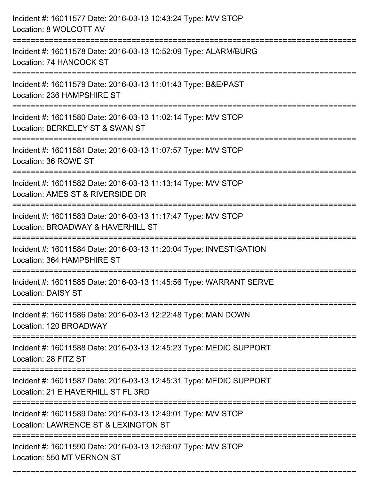| Incident #: 16011577 Date: 2016-03-13 10:43:24 Type: M/V STOP<br>Location: 8 WOLCOTT AV                            |
|--------------------------------------------------------------------------------------------------------------------|
| Incident #: 16011578 Date: 2016-03-13 10:52:09 Type: ALARM/BURG<br>Location: 74 HANCOCK ST                         |
| Incident #: 16011579 Date: 2016-03-13 11:01:43 Type: B&E/PAST<br>Location: 236 HAMPSHIRE ST                        |
| Incident #: 16011580 Date: 2016-03-13 11:02:14 Type: M/V STOP<br>Location: BERKELEY ST & SWAN ST                   |
| Incident #: 16011581 Date: 2016-03-13 11:07:57 Type: M/V STOP<br>Location: 36 ROWE ST<br>------------------------- |
| Incident #: 16011582 Date: 2016-03-13 11:13:14 Type: M/V STOP<br>Location: AMES ST & RIVERSIDE DR                  |
| Incident #: 16011583 Date: 2016-03-13 11:17:47 Type: M/V STOP<br>Location: BROADWAY & HAVERHILL ST                 |
| Incident #: 16011584 Date: 2016-03-13 11:20:04 Type: INVESTIGATION<br>Location: 364 HAMPSHIRE ST                   |
| Incident #: 16011585 Date: 2016-03-13 11:45:56 Type: WARRANT SERVE<br><b>Location: DAISY ST</b>                    |
| Incident #: 16011586 Date: 2016-03-13 12:22:48 Type: MAN DOWN<br>Location: 120 BROADWAY                            |
| Incident #: 16011588 Date: 2016-03-13 12:45:23 Type: MEDIC SUPPORT<br>Location: 28 FITZ ST                         |
| Incident #: 16011587 Date: 2016-03-13 12:45:31 Type: MEDIC SUPPORT<br>Location: 21 E HAVERHILL ST FL 3RD           |
| Incident #: 16011589 Date: 2016-03-13 12:49:01 Type: M/V STOP<br>Location: LAWRENCE ST & LEXINGTON ST              |
| Incident #: 16011590 Date: 2016-03-13 12:59:07 Type: M/V STOP<br>Location: 550 MT VERNON ST                        |

===========================================================================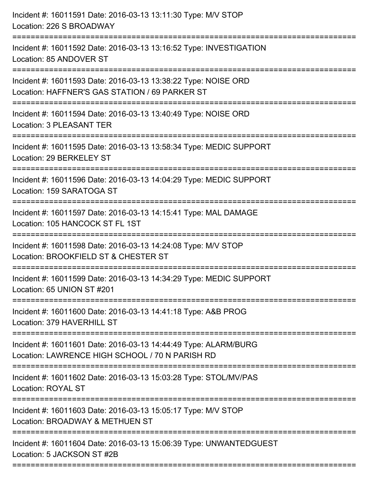| Incident #: 16011591 Date: 2016-03-13 13:11:30 Type: M/V STOP<br>Location: 226 S BROADWAY                                                  |
|--------------------------------------------------------------------------------------------------------------------------------------------|
| Incident #: 16011592 Date: 2016-03-13 13:16:52 Type: INVESTIGATION<br>Location: 85 ANDOVER ST                                              |
| Incident #: 16011593 Date: 2016-03-13 13:38:22 Type: NOISE ORD<br>Location: HAFFNER'S GAS STATION / 69 PARKER ST<br>====================== |
| Incident #: 16011594 Date: 2016-03-13 13:40:49 Type: NOISE ORD<br>Location: 3 PLEASANT TER                                                 |
| Incident #: 16011595 Date: 2016-03-13 13:58:34 Type: MEDIC SUPPORT<br>Location: 29 BERKELEY ST                                             |
| Incident #: 16011596 Date: 2016-03-13 14:04:29 Type: MEDIC SUPPORT<br>Location: 159 SARATOGA ST                                            |
| Incident #: 16011597 Date: 2016-03-13 14:15:41 Type: MAL DAMAGE<br>Location: 105 HANCOCK ST FL 1ST                                         |
| Incident #: 16011598 Date: 2016-03-13 14:24:08 Type: M/V STOP<br>Location: BROOKFIELD ST & CHESTER ST                                      |
| Incident #: 16011599 Date: 2016-03-13 14:34:29 Type: MEDIC SUPPORT<br>Location: 65 UNION ST #201                                           |
| Incident #: 16011600 Date: 2016-03-13 14:41:18 Type: A&B PROG<br>Location: 379 HAVERHILL ST                                                |
| Incident #: 16011601 Date: 2016-03-13 14:44:49 Type: ALARM/BURG<br>Location: LAWRENCE HIGH SCHOOL / 70 N PARISH RD                         |
| Incident #: 16011602 Date: 2016-03-13 15:03:28 Type: STOL/MV/PAS<br><b>Location: ROYAL ST</b>                                              |
| Incident #: 16011603 Date: 2016-03-13 15:05:17 Type: M/V STOP<br>Location: BROADWAY & METHUEN ST                                           |
| Incident #: 16011604 Date: 2016-03-13 15:06:39 Type: UNWANTEDGUEST<br>Location: 5 JACKSON ST #2B                                           |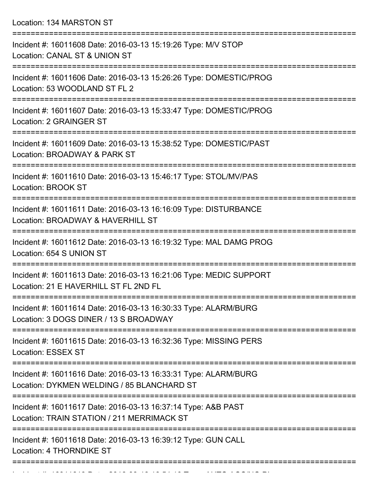Location: 134 MARSTON ST

| Incident #: 16011608 Date: 2016-03-13 15:19:26 Type: M/V STOP<br><b>Location: CANAL ST &amp; UNION ST</b>     |
|---------------------------------------------------------------------------------------------------------------|
| Incident #: 16011606 Date: 2016-03-13 15:26:26 Type: DOMESTIC/PROG<br>Location: 53 WOODLAND ST FL 2           |
| Incident #: 16011607 Date: 2016-03-13 15:33:47 Type: DOMESTIC/PROG<br>Location: 2 GRAINGER ST                 |
| Incident #: 16011609 Date: 2016-03-13 15:38:52 Type: DOMESTIC/PAST<br>Location: BROADWAY & PARK ST            |
| Incident #: 16011610 Date: 2016-03-13 15:46:17 Type: STOL/MV/PAS<br><b>Location: BROOK ST</b>                 |
| Incident #: 16011611 Date: 2016-03-13 16:16:09 Type: DISTURBANCE<br>Location: BROADWAY & HAVERHILL ST         |
| Incident #: 16011612 Date: 2016-03-13 16:19:32 Type: MAL DAMG PROG<br>Location: 654 S UNION ST<br>=========   |
| Incident #: 16011613 Date: 2016-03-13 16:21:06 Type: MEDIC SUPPORT<br>Location: 21 E HAVERHILL ST FL 2ND FL   |
| Incident #: 16011614 Date: 2016-03-13 16:30:33 Type: ALARM/BURG<br>Location: 3 DOGS DINER / 13 S BROADWAY     |
| Incident #: 16011615 Date: 2016-03-13 16:32:36 Type: MISSING PERS<br><b>Location: ESSEX ST</b>                |
| Incident #: 16011616 Date: 2016-03-13 16:33:31 Type: ALARM/BURG<br>Location: DYKMEN WELDING / 85 BLANCHARD ST |
| Incident #: 16011617 Date: 2016-03-13 16:37:14 Type: A&B PAST<br>Location: TRAIN STATION / 211 MERRIMACK ST   |
| Incident #: 16011618 Date: 2016-03-13 16:39:12 Type: GUN CALL<br>Location: 4 THORNDIKE ST                     |
|                                                                                                               |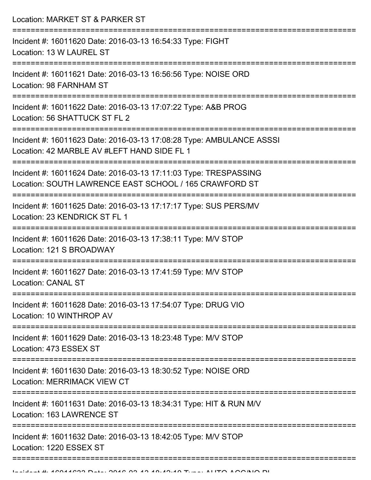| Location: MARKET ST & PARKER ST                                                                                            |
|----------------------------------------------------------------------------------------------------------------------------|
| Incident #: 16011620 Date: 2016-03-13 16:54:33 Type: FIGHT<br>Location: 13 W LAUREL ST                                     |
| Incident #: 16011621 Date: 2016-03-13 16:56:56 Type: NOISE ORD<br><b>Location: 98 FARNHAM ST</b>                           |
| Incident #: 16011622 Date: 2016-03-13 17:07:22 Type: A&B PROG<br>Location: 56 SHATTUCK ST FL 2                             |
| Incident #: 16011623 Date: 2016-03-13 17:08:28 Type: AMBULANCE ASSSI<br>Location: 42 MARBLE AV #LEFT HAND SIDE FL 1        |
| Incident #: 16011624 Date: 2016-03-13 17:11:03 Type: TRESPASSING<br>Location: SOUTH LAWRENCE EAST SCHOOL / 165 CRAWFORD ST |
| Incident #: 16011625 Date: 2016-03-13 17:17:17 Type: SUS PERS/MV<br>Location: 23 KENDRICK ST FL 1                          |
| Incident #: 16011626 Date: 2016-03-13 17:38:11 Type: M/V STOP<br>Location: 121 S BROADWAY                                  |
| Incident #: 16011627 Date: 2016-03-13 17:41:59 Type: M/V STOP<br><b>Location: CANAL ST</b>                                 |
| Incident #: 16011628 Date: 2016-03-13 17:54:07 Type: DRUG VIO<br>Location: 10 WINTHROP AV                                  |
| Incident #: 16011629 Date: 2016-03-13 18:23:48 Type: M/V STOP<br>Location: 473 ESSEX ST                                    |
| Incident #: 16011630 Date: 2016-03-13 18:30:52 Type: NOISE ORD<br><b>Location: MERRIMACK VIEW CT</b>                       |
| Incident #: 16011631 Date: 2016-03-13 18:34:31 Type: HIT & RUN M/V<br>Location: 163 LAWRENCE ST                            |
| Incident #: 16011632 Date: 2016-03-13 18:42:05 Type: M/V STOP<br>Location: 1220 ESSEX ST                                   |
|                                                                                                                            |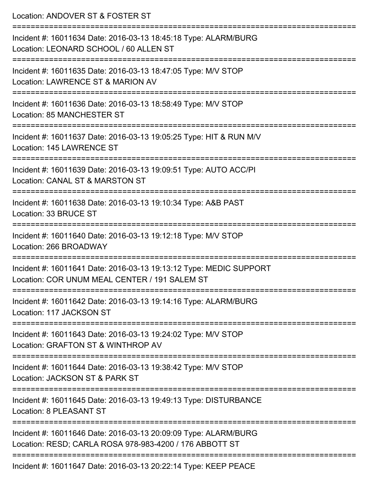| Location: ANDOVER ST & FOSTER ST                                                                                           |
|----------------------------------------------------------------------------------------------------------------------------|
| Incident #: 16011634 Date: 2016-03-13 18:45:18 Type: ALARM/BURG<br>Location: LEONARD SCHOOL / 60 ALLEN ST                  |
| Incident #: 16011635 Date: 2016-03-13 18:47:05 Type: M/V STOP<br>Location: LAWRENCE ST & MARION AV                         |
| Incident #: 16011636 Date: 2016-03-13 18:58:49 Type: M/V STOP<br>Location: 85 MANCHESTER ST                                |
| Incident #: 16011637 Date: 2016-03-13 19:05:25 Type: HIT & RUN M/V<br>Location: 145 LAWRENCE ST                            |
| Incident #: 16011639 Date: 2016-03-13 19:09:51 Type: AUTO ACC/PI<br>Location: CANAL ST & MARSTON ST                        |
| Incident #: 16011638 Date: 2016-03-13 19:10:34 Type: A&B PAST<br>Location: 33 BRUCE ST                                     |
| Incident #: 16011640 Date: 2016-03-13 19:12:18 Type: M/V STOP<br>Location: 266 BROADWAY                                    |
| Incident #: 16011641 Date: 2016-03-13 19:13:12 Type: MEDIC SUPPORT<br>Location: COR UNUM MEAL CENTER / 191 SALEM ST        |
| Incident #: 16011642 Date: 2016-03-13 19:14:16 Type: ALARM/BURG<br>Location: 117 JACKSON ST                                |
| Incident #: 16011643 Date: 2016-03-13 19:24:02 Type: M/V STOP<br>Location: GRAFTON ST & WINTHROP AV                        |
| Incident #: 16011644 Date: 2016-03-13 19:38:42 Type: M/V STOP<br>Location: JACKSON ST & PARK ST                            |
| Incident #: 16011645 Date: 2016-03-13 19:49:13 Type: DISTURBANCE<br><b>Location: 8 PLEASANT ST</b>                         |
| Incident #: 16011646 Date: 2016-03-13 20:09:09 Type: ALARM/BURG<br>Location: RESD; CARLA ROSA 978-983-4200 / 176 ABBOTT ST |
| Incident #: 16011647 Date: 2016-03-13 20:22:14 Type: KEEP PEACE                                                            |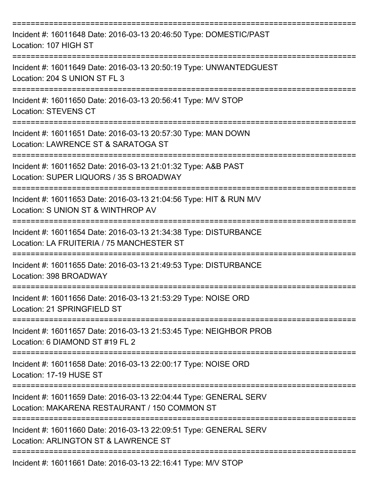| Incident #: 16011648 Date: 2016-03-13 20:46:50 Type: DOMESTIC/PAST<br>Location: 107 HIGH ST                                                   |
|-----------------------------------------------------------------------------------------------------------------------------------------------|
| Incident #: 16011649 Date: 2016-03-13 20:50:19 Type: UNWANTEDGUEST<br>Location: 204 S UNION ST FL 3                                           |
| Incident #: 16011650 Date: 2016-03-13 20:56:41 Type: M/V STOP<br><b>Location: STEVENS CT</b>                                                  |
| Incident #: 16011651 Date: 2016-03-13 20:57:30 Type: MAN DOWN<br>Location: LAWRENCE ST & SARATOGA ST                                          |
| Incident #: 16011652 Date: 2016-03-13 21:01:32 Type: A&B PAST<br>Location: SUPER LIQUORS / 35 S BROADWAY                                      |
| Incident #: 16011653 Date: 2016-03-13 21:04:56 Type: HIT & RUN M/V<br>Location: S UNION ST & WINTHROP AV                                      |
| Incident #: 16011654 Date: 2016-03-13 21:34:38 Type: DISTURBANCE<br>Location: LA FRUITERIA / 75 MANCHESTER ST                                 |
| Incident #: 16011655 Date: 2016-03-13 21:49:53 Type: DISTURBANCE<br>Location: 398 BROADWAY                                                    |
| ================<br>Incident #: 16011656 Date: 2016-03-13 21:53:29 Type: NOISE ORD<br>Location: 21 SPRINGFIELD ST                             |
| ------------<br>Incident #: 16011657 Date: 2016-03-13 21:53:45 Type: NEIGHBOR PROB<br>Location: 6 DIAMOND ST #19 FL 2                         |
| Incident #: 16011658 Date: 2016-03-13 22:00:17 Type: NOISE ORD<br>Location: 17-19 HUSE ST                                                     |
| =======================<br>Incident #: 16011659 Date: 2016-03-13 22:04:44 Type: GENERAL SERV<br>Location: MAKARENA RESTAURANT / 150 COMMON ST |
| Incident #: 16011660 Date: 2016-03-13 22:09:51 Type: GENERAL SERV<br>Location: ARLINGTON ST & LAWRENCE ST                                     |
| Incident #: 16011661 Date: 2016-03-13 22:16:41 Type: M/V STOP                                                                                 |